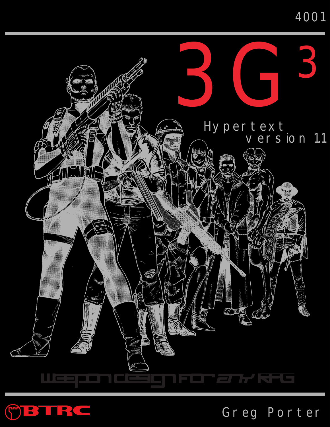## 4001





# Greg Porter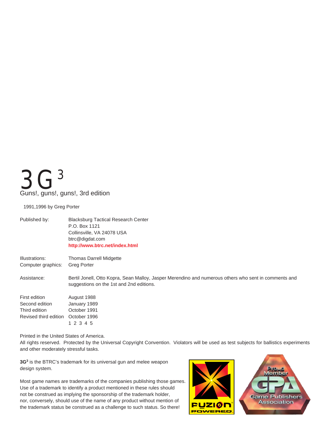# <span id="page-1-0"></span> $\mathbf{C}3$ Guns!, guns!, guns!, 3rd edition

1991,1996 by Greg Porter

| Published by:                        | <b>Blacksburg Tactical Research Center</b><br>P.O. Box 1121<br>Collinsville, VA 24078 USA<br>btrc@digdat.com<br>http://www.btrc.net/index.html    |
|--------------------------------------|---------------------------------------------------------------------------------------------------------------------------------------------------|
| Illustrations:<br>Computer graphics: | <b>Thomas Darrell Midgette</b><br><b>Greg Porter</b>                                                                                              |
| Assistance:                          | Bertil Jonell, Otto Kopra, Sean Malloy, Jasper Merendino and numerous others who sent in comments and<br>suggestions on the 1st and 2nd editions. |
| First edition<br>Second edition      | August 1988<br>January 1989                                                                                                                       |
| Third edition                        | October 1991                                                                                                                                      |
| Revised third edition                | October 1996                                                                                                                                      |
|                                      | 1 2 3 4 5                                                                                                                                         |

Printed in the United States of America.

All rights reserved. Protected by the Universal Copyright Convention. Violators will be used as test subjects for ballistics experiments and other moderately stressful tasks.

**3G3** is the BTRC's trademark for its universal gun and melee weapon design system.

Most game names are trademarks of the companies publishing those games. Use of a trademark to identify a product mentioned in these rules should not be construed as implying the sponsorship of the trademark holder, nor, conversely, should use of the name of any product without mention of the trademark status be construed as a challenge to such status. So there!



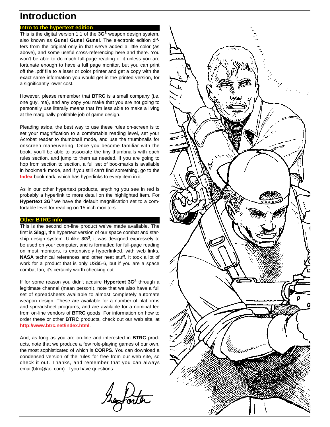### **Introduction**

### **Intro to the hypertext edition**

This is the digital version 1.1 of the **3G<sup>3</sup>** weapon design system, also known as **Guns! Guns! Guns!**. The electronic edition differs from the original only in that we've added a little color (as above), and some useful cross-referencing here and there. You won't be able to do much full-page reading of it unless you are fortunate enough to have a full page monitor, but you can print off the .pdf file to a laser or color printer and get a copy with the exact same information you would get in the printed version, for a significantly lower cost.

However, please remember that **BTRC** is a small company (i.e. one guy, me), and any copy you make that you are not going to personally use literally means that I'm less able to make a living at the marginally profitable job of game design.

Pleading aside, the best way to use these rules on-screen is to set your magnification to a comfortable reading level, set your Acrobat reader to thumbnail mode, and use the thumbnails for onscreen maneuvering. Once you become familiar with the book, you'll be able to associate the tiny thumbnails with each rules section, and jump to them as needed. If you are going to hop from section to section, a full set of bookmarks is available in bookmark mode, and if you still can't find something, go to the **[Index](#page--1-0)** bookmark, which has hyperlinks to every item in it.

As in our other hypertext products, anything you see in red is probably a hyperlink to more detail on the highlighted item. For **Hypertext 3G3** we have the default magnification set to a comfortable level for reading on 15 inch monitors.

### **Other BTRC info**

This is the second on-line product we've made available. The first is **Slag!**, the hypertext version of our space combat and starship design system. Unlike **3G3**, it was designed expressely to be used on your computer, and is formatted for full-page reading on most monitors, is extensively hyperlinked, with web links, **NASA** technical references and other neat stuff. It took a lot of work for a product that is only US\$5-6, but if you are a space combat fan, it's certainly worth checking out.

If for some reason you didn't acquire **Hypertext 3G3** through a legitimate channel (mean person!), note that we also have a full set of spreadsheets available to almost completely automate weapon design. These are available for a number of platforms and spreadsheet programs, and are available for a nominal fee from on-line vendors of **BTRC** goods. For information on how to order these or other **BTRC** products, check out our web site, at **<http://www.btrc.net/index.html>**.

And, as long as you are on-line and interested in **BTRC** products, note that we produce a few role-playing games of our own, the most sophisticated of which is **CORPS**. You can download a condensed version of the rules for free from our web site, so check it out. Thanks, and remember that you can always email(btrc@aol.com) if you have questions.